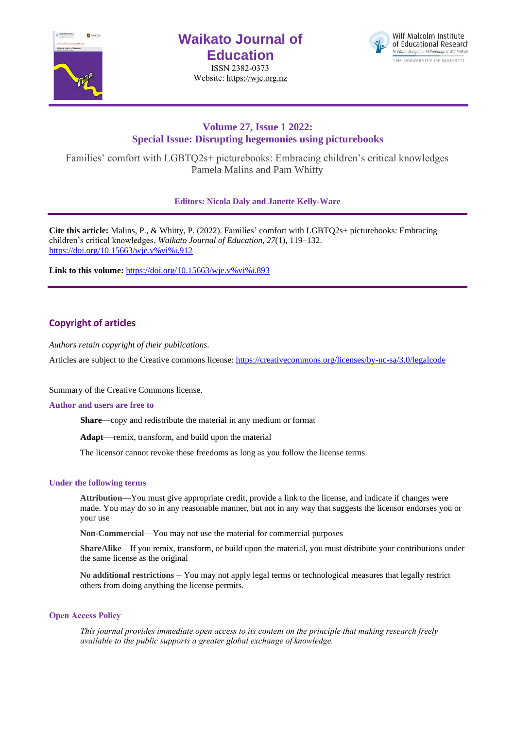

# **Waikato Journal of Education**

ISSN 2382-0373 Website[: https://wje.org.nz](https://wje.org.nz/)



# **Volume 27, Issue 1 2022: Special Issue: Disrupting hegemonies using picturebooks**

Families' comfort with LGBTQ2s+ picturebooks: Embracing children's critical knowledges Pamela Malins and Pam Whitty

**Editors: Nicola Daly and Janette Kelly-Ware**

**Cite this article:** Malins, P., & Whitty, P. (2022). Families' comfort with LGBTQ2s+ picturebooks: Embracing children's critical knowledges. *Waikato Journal of Education, 27*(1), 119–132. [https://doi.org/10.15663/wje.v%vi%i.912](https://doi.org/10.15663/wje.v%25vi%25i.912) 

Link to this volume: [https://doi.org/10.15663/wje.v%vi%i.893](https://doi.org/10.15663/wje.v%25vi%25i.893)

# **Copyright of articles**

*Authors retain copyright of their publications.*

Articles are subject to the Creative commons license: https://creativecommons.org/licenses/by-nc-sa/3.0/legalcode

Summary of the Creative Commons license.

## **Author and users are free to**

**Share**—copy and redistribute the material in any medium or format

**Adapt**—remix, transform, and build upon the material

The licensor cannot revoke these freedoms as long as you follow the license terms.

# **Under the following terms**

**Attribution**—You must give appropriate credit, provide a link to the license, and indicate if changes were made. You may do so in any reasonable manner, but not in any way that suggests the licensor endorses you or your use

**Non-Commercial**—You may not use the material for commercial purposes

**ShareAlike**—If you remix, transform, or build upon the material, you must distribute your contributions under the same license as the original

**No additional restrictions** – You may not apply legal terms or technological measures that legally restrict others from doing anything the license permits.

# **Open Access Policy**

*This journal provides immediate open access to its content on the principle that making research freely available to the public supports a greater global exchange of knowledge.*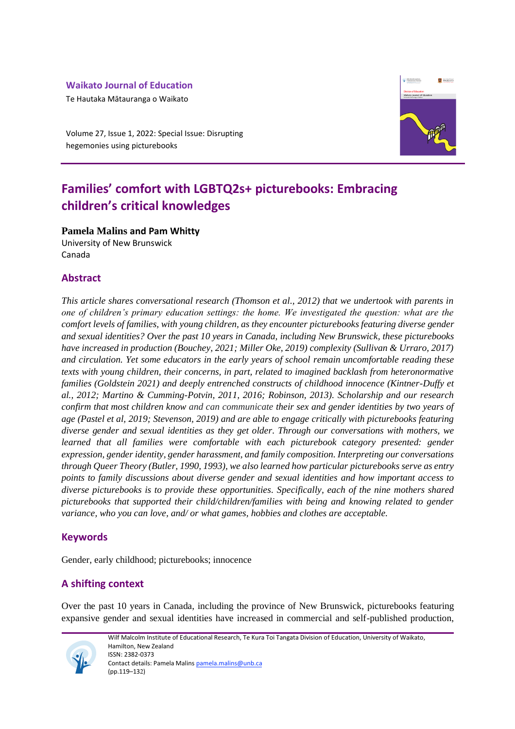# **Waikato Journal of Education**

Te Hautaka Mātauranga o Waikato

Volume 27, Issue 1, 2022: Special Issue: Disrupting hegemonies using picturebooks



# **Families' comfort with LGBTQ2s+ picturebooks: Embracing children's critical knowledges**

**Pamela Malins and Pam Whitty**

University of New Brunswick Canada

# **Abstract**

*This article shares conversational research (Thomson et al., 2012) that we undertook with parents in one of children's primary education settings: the home. We investigated the question: what are the comfort levels of families, with young children, as they encounter picturebooks featuring diverse gender and sexual identities? Over the past 10 years in Canada, including New Brunswick, these picturebooks have increased in production (Bouchey, 2021; Miller Oke, 2019) complexity (Sullivan & Urraro, 2017) and circulation. Yet some educators in the early years of school remain uncomfortable reading these texts with young children, their concerns, in part, related to imagined backlash from heteronormative families (Goldstein 2021) and deeply entrenched constructs of childhood innocence (Kintner-Duffy et al., 2012; Martino & Cumming-Potvin, 2011, 2016; Robinson, 2013). Scholarship and our research confirm that most children know and can communicate their sex and gender identities by two years of age (Pastel et al, 2019; Stevenson, 2019) and are able to engage critically with picturebooks featuring diverse gender and sexual identities as they get older. Through our conversations with mothers, we learned that all families were comfortable with each picturebook category presented: gender expression, gender identity, gender harassment, and family composition. Interpreting our conversations through Queer Theory (Butler, 1990, 1993), we also learned how particular picturebooks serve as entry points to family discussions about diverse gender and sexual identities and how important access to diverse picturebooks is to provide these opportunities. Specifically, each of the nine mothers shared picturebooks that supported their child/children/families with being and knowing related to gender variance, who you can love, and/ or what games, hobbies and clothes are acceptable.* 

# **Keywords**

Gender, early childhood; picturebooks; innocence

# **A shifting context**

Over the past 10 years in Canada, including the province of New Brunswick, picturebooks featuring expansive gender and sexual identities have increased in commercial and self-published production,



Wilf Malcolm Institute of Educational Research, Te Kura Toi Tangata Division of Education, University of Waikato, Hamilton, New Zealand ISSN: 2382-0373 Contact details: Pamela Malin[s pamela.malins@unb.ca](mailto:pamela.malins@unb.ca) (pp.119–132)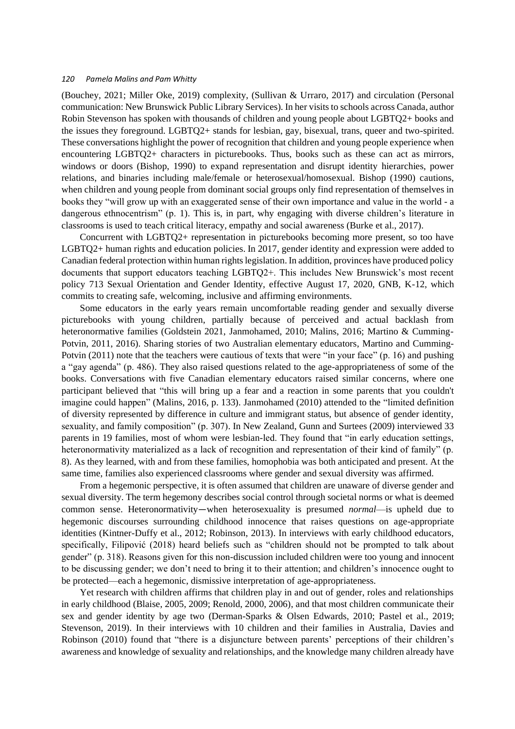(Bouchey, 2021; Miller Oke, 2019) complexity, (Sullivan & Urraro, 2017) and circulation (Personal communication: New Brunswick Public Library Services). In her visits to schools across Canada, author Robin Stevenson has spoken with thousands of children and young people about LGBTQ2+ books and the issues they foreground. LGBTQ2+ stands for lesbian, gay, bisexual, trans, queer and two-spirited. These conversations highlight the power of recognition that children and young people experience when encountering LGBTQ2+ characters in picturebooks. Thus, books such as these can act as mirrors, windows or doors (Bishop, 1990) to expand representation and disrupt identity hierarchies, power relations, and binaries including male/female or heterosexual/homosexual. Bishop (1990) cautions, when children and young people from dominant social groups only find representation of themselves in books they "will grow up with an exaggerated sense of their own importance and value in the world - a dangerous ethnocentrism" (p. 1). This is, in part, why engaging with diverse children's literature in classrooms is used to teach critical literacy, empathy and social awareness (Burke et al., 2017).

Concurrent with LGBTQ2+ representation in picturebooks becoming more present, so too have LGBTQ2+ human rights and education policies. In 2017, gender identity and expression were added to Canadian federal protection within human rights legislation. In addition, provinces have produced policy documents that support educators teaching LGBTQ2+. This includes New Brunswick's most recent policy 713 Sexual Orientation and Gender Identity, effective August 17, 2020, GNB, K-12, which commits to creating safe, welcoming, inclusive and affirming environments.

Some educators in the early years remain uncomfortable reading gender and sexually diverse picturebooks with young children, partially because of perceived and actual backlash from heteronormative families (Goldstein 2021, Janmohamed, 2010; Malins, 2016; Martino & Cumming-Potvin, 2011, 2016). Sharing stories of two Australian elementary educators, Martino and Cumming-Potvin (2011) note that the teachers were cautious of texts that were "in your face" (p. 16) and pushing a "gay agenda" (p. 486). They also raised questions related to the age-appropriateness of some of the books. Conversations with five Canadian elementary educators raised similar concerns, where one participant believed that "this will bring up a fear and a reaction in some parents that you couldn't imagine could happen" (Malins, 2016, p. 133). Janmohamed (2010) attended to the "limited definition of diversity represented by difference in culture and immigrant status, but absence of gender identity, sexuality, and family composition" (p. 307). In New Zealand, Gunn and Surtees (2009) interviewed 33 parents in 19 families, most of whom were lesbian-led. They found that "in early education settings, heteronormativity materialized as a lack of recognition and representation of their kind of family" (p. 8). As they learned, with and from these families, homophobia was both anticipated and present. At the same time, families also experienced classrooms where gender and sexual diversity was affirmed.

From a hegemonic perspective, it is often assumed that children are unaware of diverse gender and sexual diversity. The term hegemony describes social control through societal norms or what is deemed common sense. Heteronormativity—when heterosexuality is presumed *normal*—is upheld due to hegemonic discourses surrounding childhood innocence that raises questions on age-appropriate identities (Kintner-Duffy et al., 2012; Robinson, 2013). In interviews with early childhood educators, specifically, Filipović (2018) heard beliefs such as "children should not be prompted to talk about gender" (p. 318). Reasons given for this non-discussion included children were too young and innocent to be discussing gender; we don't need to bring it to their attention; and children's innocence ought to be protected—each a hegemonic, dismissive interpretation of age-appropriateness.

Yet research with children affirms that children play in and out of gender, roles and relationships in early childhood (Blaise, 2005, 2009; Renold, 2000, 2006), and that most children communicate their sex and gender identity by age two (Derman-Sparks & Olsen Edwards, 2010; Pastel et al., 2019; Stevenson, 2019). In their interviews with 10 children and their families in Australia, Davies and Robinson (2010) found that "there is a disjuncture between parents' perceptions of their children's awareness and knowledge of sexuality and relationships, and the knowledge many children already have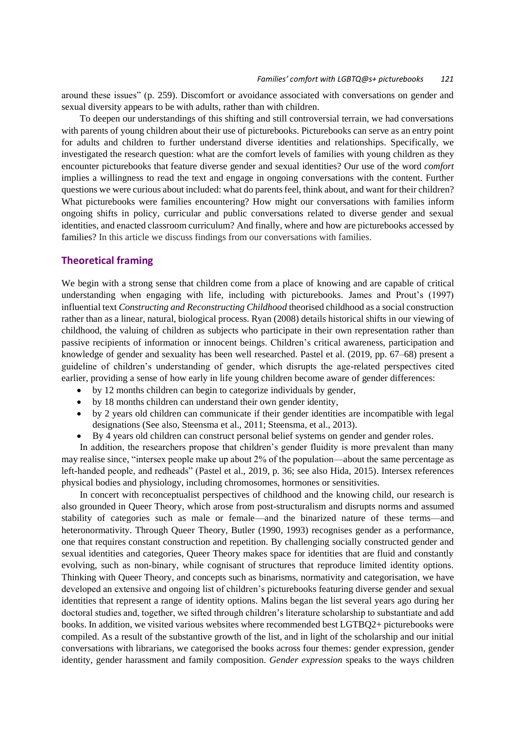around these issues" (p. 259). Discomfort or avoidance associated with conversations on gender and sexual diversity appears to be with adults, rather than with children.

To deepen our understandings of this shifting and still controversial terrain, we had conversations with parents of young children about their use of picturebooks. Picturebooks can serve as an entry point for adults and children to further understand diverse identities and relationships. Specifically, we investigated the research question: what are the comfort levels of families with young children as they encounter picturebooks that feature diverse gender and sexual identities? Our use of the word *comfort* implies a willingness to read the text and engage in ongoing conversations with the content. Further questions we were curious about included: what do parents feel, think about, and want for their children? What picturebooks were families encountering? How might our conversations with families inform ongoing shifts in policy, curricular and public conversations related to diverse gender and sexual identities, and enacted classroom curriculum? And finally, where and how are picturebooks accessed by families? In this article we discuss findings from our conversations with families.

# **Theoretical framing**

We begin with a strong sense that children come from a place of knowing and are capable of critical understanding when engaging with life, including with picturebooks. James and Prout's (1997) influential text *Constructing and Reconstructing Childhood* theorised childhood as a social construction rather than as a linear, natural, biological process. Ryan (2008) details historical shifts in our viewing of childhood, the valuing of children as subjects who participate in their own representation rather than passive recipients of information or innocent beings. Children's critical awareness, participation and knowledge of gender and sexuality has been well researched. Pastel et al. (2019, pp. 67–68) present a guideline of children's understanding of gender, which disrupts the age-related perspectives cited earlier, providing a sense of how early in life young children become aware of gender differences:

- by 12 months children can begin to categorize individuals by gender,
- by 18 months children can understand their own gender identity,
- by 2 years old children can communicate if their gender identities are incompatible with legal designations (See also, Steensma et al., 2011; Steensma, et al., 2013).
- By 4 years old children can construct personal belief systems on gender and gender roles.

In addition, the researchers propose that children's gender fluidity is more prevalent than many may realise since, "intersex people make up about 2% of the population—about the same percentage as left-handed people, and redheads" (Pastel et al., 2019, p. 36; see also Hida, 2015). Intersex references physical bodies and physiology, including chromosomes, hormones or sensitivities.

In concert with reconceptualist perspectives of childhood and the knowing child, our research is also grounded in Queer Theory, which arose from post-structuralism and disrupts norms and assumed stability of categories such as male or female—and the binarized nature of these terms—and heteronormativity. Through Queer Theory, Butler (1990, 1993) recognises gender as a performance, one that requires constant construction and repetition. By challenging socially constructed gender and sexual identities and categories, Queer Theory makes space for identities that are fluid and constantly evolving, such as non-binary, while cognisant of structures that reproduce limited identity options. Thinking with Queer Theory, and concepts such as binarisms, normativity and categorisation, we have developed an extensive and ongoing list of children's picturebooks featuring diverse gender and sexual identities that represent a range of identity options. Malins began the list several years ago during her doctoral studies and, together, we sifted through children's literature scholarship to substantiate and add books. In addition, we visited various websites where recommended best LGTBQ2+ picturebooks were compiled. As a result of the substantive growth of the list, and in light of the scholarship and our initial conversations with librarians, we categorised the books across four themes: gender expression, gender identity, gender harassment and family composition. *Gender expression* speaks to the ways children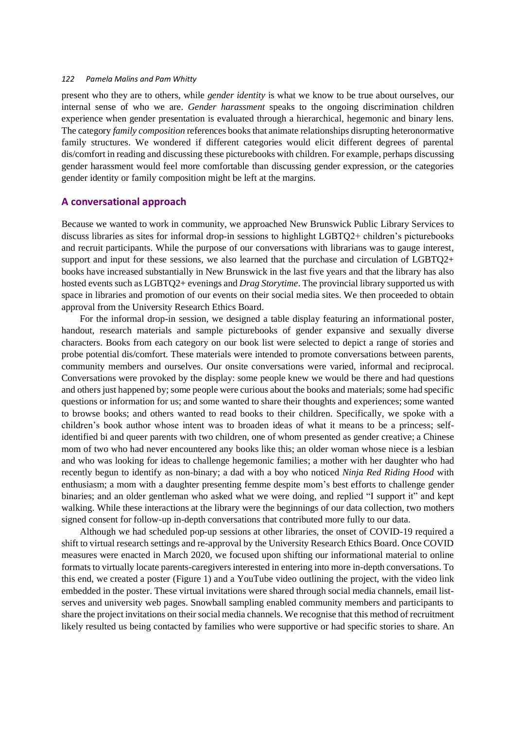present who they are to others, while *gender identity* is what we know to be true about ourselves, our internal sense of who we are. *Gender harassment* speaks to the ongoing discrimination children experience when gender presentation is evaluated through a hierarchical, hegemonic and binary lens. The category *family composition* references books that animate relationships disrupting heteronormative family structures. We wondered if different categories would elicit different degrees of parental dis/comfort in reading and discussing these picturebooks with children. For example, perhaps discussing gender harassment would feel more comfortable than discussing gender expression, or the categories gender identity or family composition might be left at the margins.

#### **A conversational approach**

Because we wanted to work in community, we approached New Brunswick Public Library Services to discuss libraries as sites for informal drop-in sessions to highlight LGBTQ2+ children's picturebooks and recruit participants. While the purpose of our conversations with librarians was to gauge interest, support and input for these sessions, we also learned that the purchase and circulation of LGBTQ2+ books have increased substantially in New Brunswick in the last five years and that the library has also hosted events such as LGBTQ2+ evenings and *Drag Storytime*. The provincial library supported us with space in libraries and promotion of our events on their social media sites. We then proceeded to obtain approval from the University Research Ethics Board.

For the informal drop-in session, we designed a table display featuring an informational poster, handout, research materials and sample picturebooks of gender expansive and sexually diverse characters. Books from each category on our book list were selected to depict a range of stories and probe potential dis/comfort. These materials were intended to promote conversations between parents, community members and ourselves. Our onsite conversations were varied, informal and reciprocal. Conversations were provoked by the display: some people knew we would be there and had questions and others just happened by; some people were curious about the books and materials; some had specific questions or information for us; and some wanted to share their thoughts and experiences; some wanted to browse books; and others wanted to read books to their children. Specifically, we spoke with a children's book author whose intent was to broaden ideas of what it means to be a princess; selfidentified bi and queer parents with two children, one of whom presented as gender creative; a Chinese mom of two who had never encountered any books like this; an older woman whose niece is a lesbian and who was looking for ideas to challenge hegemonic families; a mother with her daughter who had recently begun to identify as non-binary; a dad with a boy who noticed *Ninja Red Riding Hood* with enthusiasm; a mom with a daughter presenting femme despite mom's best efforts to challenge gender binaries; and an older gentleman who asked what we were doing, and replied "I support it" and kept walking. While these interactions at the library were the beginnings of our data collection, two mothers signed consent for follow-up in-depth conversations that contributed more fully to our data.

Although we had scheduled pop-up sessions at other libraries, the onset of COVID-19 required a shift to virtual research settings and re-approval by the University Research Ethics Board. Once COVID measures were enacted in March 2020, we focused upon shifting our informational material to online formats to virtually locate parents-caregivers interested in entering into more in-depth conversations. To this end, we created a poster (Figure 1) and a YouTube video outlining the project, with the video link embedded in the poster. These virtual invitations were shared through social media channels, email listserves and university web pages. Snowball sampling enabled community members and participants to share the project invitations on their social media channels. We recognise that this method of recruitment likely resulted us being contacted by families who were supportive or had specific stories to share. An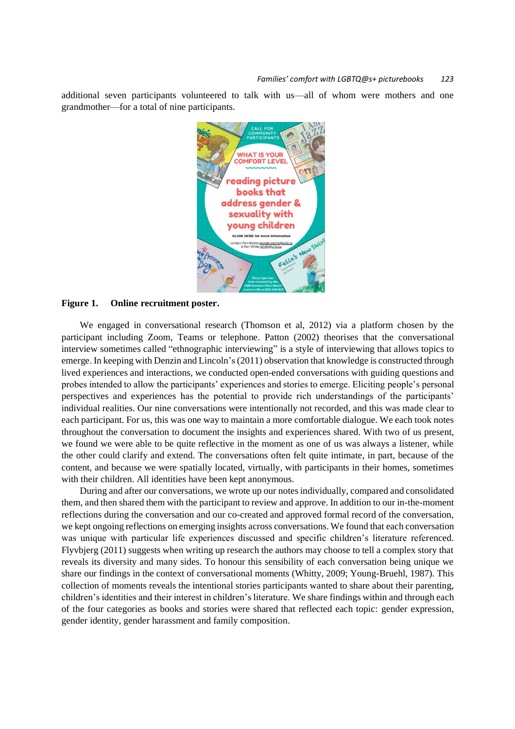additional seven participants volunteered to talk with us—all of whom were mothers and one grandmother—for a total of nine participants.



## **Figure 1. Online recruitment poster.**

We engaged in conversational research (Thomson et al, 2012) via a platform chosen by the participant including Zoom, Teams or telephone. Patton (2002) theorises that the conversational interview sometimes called "ethnographic interviewing" is a style of interviewing that allows topics to emerge. In keeping with Denzin and Lincoln's (2011) observation that knowledge is constructed through lived experiences and interactions, we conducted open-ended conversations with guiding questions and probes intended to allow the participants' experiences and stories to emerge. Eliciting people's personal perspectives and experiences has the potential to provide rich understandings of the participants' individual realities. Our nine conversations were intentionally not recorded, and this was made clear to each participant. For us, this was one way to maintain a more comfortable dialogue. We each took notes throughout the conversation to document the insights and experiences shared. With two of us present, we found we were able to be quite reflective in the moment as one of us was always a listener, while the other could clarify and extend. The conversations often felt quite intimate, in part, because of the content, and because we were spatially located, virtually, with participants in their homes, sometimes with their children. All identities have been kept anonymous.

During and after our conversations, we wrote up our notes individually, compared and consolidated them, and then shared them with the participant to review and approve. In addition to our in-the-moment reflections during the conversation and our co-created and approved formal record of the conversation, we kept ongoing reflections on emerging insights across conversations. We found that each conversation was unique with particular life experiences discussed and specific children's literature referenced. Flyvbjerg (2011) suggests when writing up research the authors may choose to tell a complex story that reveals its diversity and many sides. To honour this sensibility of each conversation being unique we share our findings in the context of conversational moments (Whitty, 2009; Young-Bruehl, 1987). This collection of moments reveals the intentional stories participants wanted to share about their parenting, children's identities and their interest in children's literature. We share findings within and through each of the four categories as books and stories were shared that reflected each topic: gender expression, gender identity, gender harassment and family composition.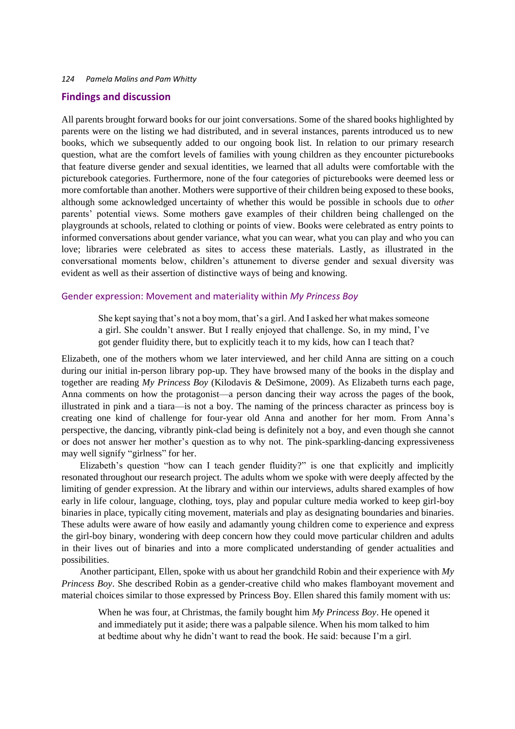#### **Findings and discussion**

All parents brought forward books for our joint conversations. Some of the shared books highlighted by parents were on the listing we had distributed, and in several instances, parents introduced us to new books, which we subsequently added to our ongoing book list. In relation to our primary research question, what are the comfort levels of families with young children as they encounter picturebooks that feature diverse gender and sexual identities, we learned that all adults were comfortable with the picturebook categories. Furthermore, none of the four categories of picturebooks were deemed less or more comfortable than another. Mothers were supportive of their children being exposed to these books, although some acknowledged uncertainty of whether this would be possible in schools due to *other* parents' potential views. Some mothers gave examples of their children being challenged on the playgrounds at schools, related to clothing or points of view. Books were celebrated as entry points to informed conversations about gender variance, what you can wear, what you can play and who you can love; libraries were celebrated as sites to access these materials. Lastly, as illustrated in the conversational moments below, children's attunement to diverse gender and sexual diversity was evident as well as their assertion of distinctive ways of being and knowing.

#### Gender expression: Movement and materiality within *My Princess Boy*

She kept saying that's not a boy mom, that's a girl. And I asked her what makes someone a girl. She couldn't answer. But I really enjoyed that challenge. So, in my mind, I've got gender fluidity there, but to explicitly teach it to my kids, how can I teach that?

Elizabeth, one of the mothers whom we later interviewed, and her child Anna are sitting on a couch during our initial in-person library pop-up. They have browsed many of the books in the display and together are reading *My Princess Boy* (Kilodavis & DeSimone, 2009). As Elizabeth turns each page, Anna comments on how the protagonist—a person dancing their way across the pages of the book, illustrated in pink and a tiara—is not a boy. The naming of the princess character as princess boy is creating one kind of challenge for four-year old Anna and another for her mom. From Anna's perspective, the dancing, vibrantly pink-clad being is definitely not a boy, and even though she cannot or does not answer her mother's question as to why not. The pink-sparkling-dancing expressiveness may well signify "girlness" for her.

Elizabeth's question "how can I teach gender fluidity?" is one that explicitly and implicitly resonated throughout our research project. The adults whom we spoke with were deeply affected by the limiting of gender expression. At the library and within our interviews, adults shared examples of how early in life colour, language, clothing, toys, play and popular culture media worked to keep girl-boy binaries in place, typically citing movement, materials and play as designating boundaries and binaries. These adults were aware of how easily and adamantly young children come to experience and express the girl-boy binary, wondering with deep concern how they could move particular children and adults in their lives out of binaries and into a more complicated understanding of gender actualities and possibilities.

Another participant, Ellen, spoke with us about her grandchild Robin and their experience with *My Princess Boy*. She described Robin as a gender-creative child who makes flamboyant movement and material choices similar to those expressed by Princess Boy. Ellen shared this family moment with us:

When he was four, at Christmas, the family bought him *My Princess Boy*. He opened it and immediately put it aside; there was a palpable silence. When his mom talked to him at bedtime about why he didn't want to read the book. He said: because I'm a girl.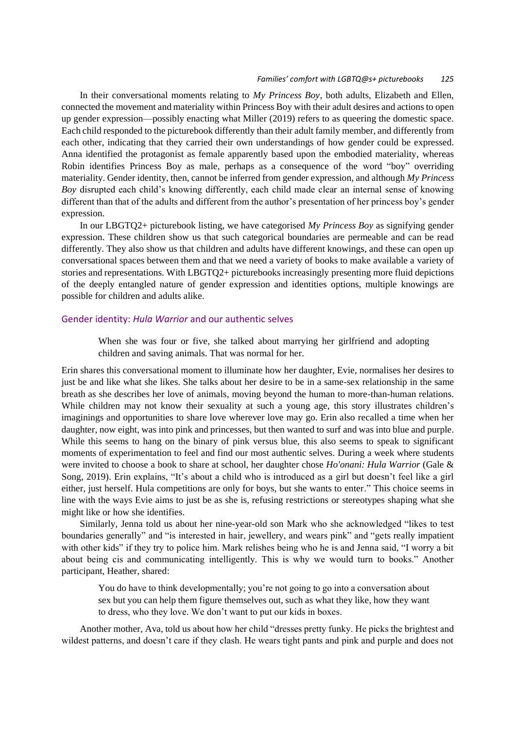#### *Families' comfort with LGBTQ@s+ picturebooks 125*

In their conversational moments relating to *My Princess Boy*, both adults, Elizabeth and Ellen, connected the movement and materiality within Princess Boy with their adult desires and actions to open up gender expression—possibly enacting what Miller (2019) refers to as queering the domestic space. Each child responded to the picturebook differently than their adult family member, and differently from each other, indicating that they carried their own understandings of how gender could be expressed. Anna identified the protagonist as female apparently based upon the embodied materiality, whereas Robin identifies Princess Boy as male, perhaps as a consequence of the word "boy" overriding materiality. Gender identity, then, cannot be inferred from gender expression, and although *My Princess Boy* disrupted each child's knowing differently, each child made clear an internal sense of knowing different than that of the adults and different from the author's presentation of her princess boy's gender expression.

In our LBGTQ2+ picturebook listing, we have categorised *My Princess Boy* as signifying gender expression. These children show us that such categorical boundaries are permeable and can be read differently. They also show us that children and adults have different knowings, and these can open up conversational spaces between them and that we need a variety of books to make available a variety of stories and representations. With LBGTQ2+ picturebooks increasingly presenting more fluid depictions of the deeply entangled nature of gender expression and identities options, multiple knowings are possible for children and adults alike.

## Gender identity: *Hula Warrior* and our authentic selves

When she was four or five, she talked about marrying her girlfriend and adopting children and saving animals. That was normal for her.

Erin shares this conversational moment to illuminate how her daughter, Evie, normalises her desires to just be and like what she likes. She talks about her desire to be in a same-sex relationship in the same breath as she describes her love of animals, moving beyond the human to more-than-human relations. While children may not know their sexuality at such a young age, this story illustrates children's imaginings and opportunities to share love wherever love may go. Erin also recalled a time when her daughter, now eight, was into pink and princesses, but then wanted to surf and was into blue and purple. While this seems to hang on the binary of pink versus blue, this also seems to speak to significant moments of experimentation to feel and find our most authentic selves. During a week where students were invited to choose a book to share at school, her daughter chose *Ho'onani: Hula Warrior* (Gale & Song, 2019). Erin explains, "It's about a child who is introduced as a girl but doesn't feel like a girl either, just herself. Hula competitions are only for boys, but she wants to enter." This choice seems in line with the ways Evie aims to just be as she is, refusing restrictions or stereotypes shaping what she might like or how she identifies.

Similarly, Jenna told us about her nine-year-old son Mark who she acknowledged "likes to test boundaries generally" and "is interested in hair, jewellery, and wears pink" and "gets really impatient with other kids" if they try to police him. Mark relishes being who he is and Jenna said, "I worry a bit about being cis and communicating intelligently. This is why we would turn to books." Another participant, Heather, shared:

You do have to think developmentally; you're not going to go into a conversation about sex but you can help them figure themselves out, such as what they like, how they want to dress, who they love. We don't want to put our kids in boxes.

Another mother, Ava, told us about how her child "dresses pretty funky. He picks the brightest and wildest patterns, and doesn't care if they clash. He wears tight pants and pink and purple and does not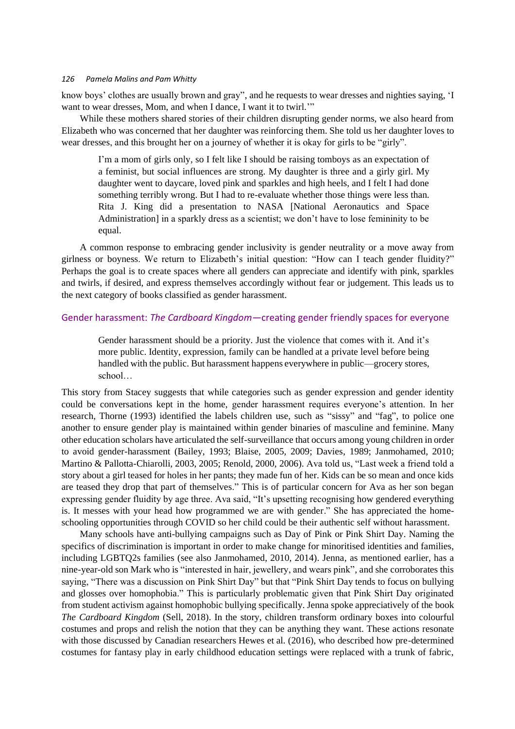know boys' clothes are usually brown and gray", and he requests to wear dresses and nighties saying, 'I want to wear dresses, Mom, and when I dance, I want it to twirl."

While these mothers shared stories of their children disrupting gender norms, we also heard from Elizabeth who was concerned that her daughter was reinforcing them. She told us her daughter loves to wear dresses, and this brought her on a journey of whether it is okay for girls to be "girly".

I'm a mom of girls only, so I felt like I should be raising tomboys as an expectation of a feminist, but social influences are strong. My daughter is three and a girly girl. My daughter went to daycare, loved pink and sparkles and high heels, and I felt I had done something terribly wrong. But I had to re-evaluate whether those things were less than. Rita J. King did a presentation to NASA [National Aeronautics and Space Administration] in a sparkly dress as a scientist; we don't have to lose femininity to be equal.

A common response to embracing gender inclusivity is gender neutrality or a move away from girlness or boyness. We return to Elizabeth's initial question: "How can I teach gender fluidity?" Perhaps the goal is to create spaces where all genders can appreciate and identify with pink, sparkles and twirls, if desired, and express themselves accordingly without fear or judgement. This leads us to the next category of books classified as gender harassment.

## Gender harassment: *The Cardboard Kingdom*—creating gender friendly spaces for everyone

Gender harassment should be a priority. Just the violence that comes with it. And it's more public. Identity, expression, family can be handled at a private level before being handled with the public. But harassment happens everywhere in public—grocery stores, school…

This story from Stacey suggests that while categories such as gender expression and gender identity could be conversations kept in the home, gender harassment requires everyone's attention. In her research, Thorne (1993) identified the labels children use, such as "sissy" and "fag", to police one another to ensure gender play is maintained within gender binaries of masculine and feminine. Many other education scholars have articulated the self-surveillance that occurs among young children in order to avoid gender-harassment (Bailey, 1993; Blaise, 2005, 2009; Davies, 1989; Janmohamed, 2010; Martino & Pallotta-Chiarolli, 2003, 2005; Renold, 2000, 2006). Ava told us, "Last week a friend told a story about a girl teased for holes in her pants; they made fun of her. Kids can be so mean and once kids are teased they drop that part of themselves." This is of particular concern for Ava as her son began expressing gender fluidity by age three. Ava said, "It's upsetting recognising how gendered everything is. It messes with your head how programmed we are with gender." She has appreciated the homeschooling opportunities through COVID so her child could be their authentic self without harassment.

Many schools have anti-bullying campaigns such as Day of Pink or Pink Shirt Day. Naming the specifics of discrimination is important in order to make change for minoritised identities and families, including LGBTQ2s families (see also Janmohamed, 2010, 2014). Jenna, as mentioned earlier, has a nine-year-old son Mark who is "interested in hair, jewellery, and wears pink", and she corroborates this saying, "There was a discussion on Pink Shirt Day" but that "Pink Shirt Day tends to focus on bullying and glosses over homophobia." This is particularly problematic given that Pink Shirt Day originated from student activism against homophobic bullying specifically. Jenna spoke appreciatively of the book *The Cardboard Kingdom* (Sell, 2018). In the story, children transform ordinary boxes into colourful costumes and props and relish the notion that they can be anything they want. These actions resonate with those discussed by Canadian researchers Hewes et al. (2016), who described how pre-determined costumes for fantasy play in early childhood education settings were replaced with a trunk of fabric,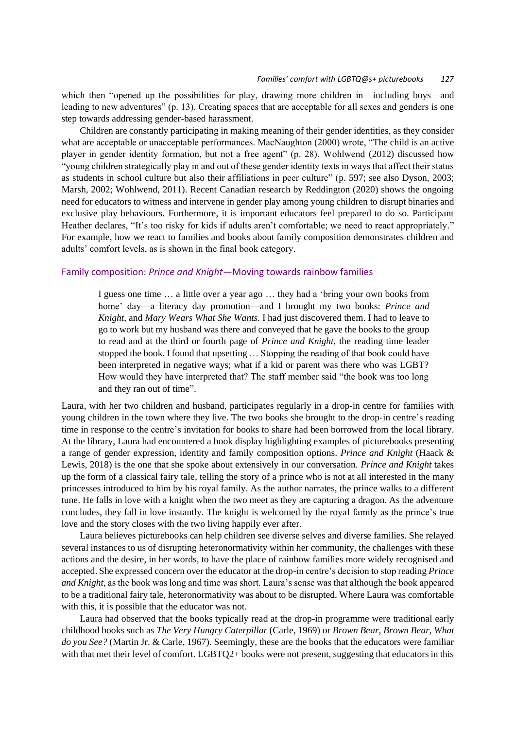which then "opened up the possibilities for play, drawing more children in—including boys—and leading to new adventures" (p. 13). Creating spaces that are acceptable for all sexes and genders is one step towards addressing gender-based harassment.

Children are constantly participating in making meaning of their gender identities, as they consider what are acceptable or unacceptable performances. MacNaughton (2000) wrote, "The child is an active player in gender identity formation, but not a free agent" (p. 28). Wohlwend (2012) discussed how "young children strategically play in and out of these gender identity texts in ways that affect their status as students in school culture but also their affiliations in peer culture" (p. 597; see also Dyson, 2003; Marsh, 2002; Wohlwend, 2011). Recent Canadian research by Reddington (2020) shows the ongoing need for educators to witness and intervene in gender play among young children to disrupt binaries and exclusive play behaviours. Furthermore, it is important educators feel prepared to do so. Participant Heather declares, "It's too risky for kids if adults aren't comfortable; we need to react appropriately." For example, how we react to families and books about family composition demonstrates children and adults' comfort levels, as is shown in the final book category.

### Family composition: *Prince and Knight*—Moving towards rainbow families

I guess one time … a little over a year ago … they had a 'bring your own books from home' day—a literacy day promotion—and I brought my two books: *Prince and Knight*, and *Mary Wears What She Wants*. I had just discovered them. I had to leave to go to work but my husband was there and conveyed that he gave the books to the group to read and at the third or fourth page of *Prince and Knight*, the reading time leader stopped the book. I found that upsetting … Stopping the reading of that book could have been interpreted in negative ways; what if a kid or parent was there who was LGBT? How would they have interpreted that? The staff member said "the book was too long and they ran out of time".

Laura, with her two children and husband, participates regularly in a drop-in centre for families with young children in the town where they live. The two books she brought to the drop-in centre's reading time in response to the centre's invitation for books to share had been borrowed from the local library. At the library, Laura had encountered a book display highlighting examples of picturebooks presenting a range of gender expression, identity and family composition options. *Prince and Knight* (Haack & Lewis, 2018) is the one that she spoke about extensively in our conversation. *Prince and Knight* takes up the form of a classical fairy tale, telling the story of a prince who is not at all interested in the many princesses introduced to him by his royal family. As the author narrates, the prince walks to a different tune. He falls in love with a knight when the two meet as they are capturing a dragon. As the adventure concludes, they fall in love instantly. The knight is welcomed by the royal family as the prince's true love and the story closes with the two living happily ever after.

Laura believes picturebooks can help children see diverse selves and diverse families. She relayed several instances to us of disrupting heteronormativity within her community, the challenges with these actions and the desire, in her words, to have the place of rainbow families more widely recognised and accepted. She expressed concern over the educator at the drop-in centre's decision to stop reading *Prince and Knight,* as the book was long and time was short. Laura's sense was that although the book appeared to be a traditional fairy tale, heteronormativity was about to be disrupted. Where Laura was comfortable with this, it is possible that the educator was not.

Laura had observed that the books typically read at the drop-in programme were traditional early childhood books such as *The Very Hungry Caterpillar* (Carle, 1969) or *Brown Bear, Brown Bear, What do you See?* (Martin Jr. & Carle, 1967)*.* Seemingly, these are the books that the educators were familiar with that met their level of comfort. LGBTQ2+ books were not present, suggesting that educators in this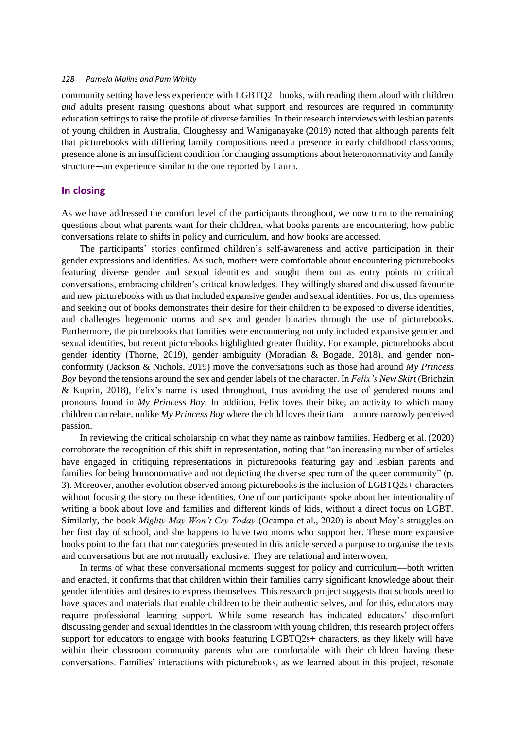community setting have less experience with LGBTQ2+ books, with reading them aloud with children *and* adults present raising questions about what support and resources are required in community education settings to raise the profile of diverse families. In their research interviews with lesbian parents of young children in Australia, Cloughessy and Waniganayake (2019) noted that although parents felt that picturebooks with differing family compositions need a presence in early childhood classrooms, presence alone is an insufficient condition for changing assumptions about heteronormativity and family structure—an experience similar to the one reported by Laura.

## **In closing**

As we have addressed the comfort level of the participants throughout, we now turn to the remaining questions about what parents want for their children, what books parents are encountering, how public conversations relate to shifts in policy and curriculum, and how books are accessed.

The participants' stories confirmed children's self-awareness and active participation in their gender expressions and identities. As such, mothers were comfortable about encountering picturebooks featuring diverse gender and sexual identities and sought them out as entry points to critical conversations, embracing children's critical knowledges. They willingly shared and discussed favourite and new picturebooks with us that included expansive gender and sexual identities. For us, this openness and seeking out of books demonstrates their desire for their children to be exposed to diverse identities, and challenges hegemonic norms and sex and gender binaries through the use of picturebooks. Furthermore, the picturebooks that families were encountering not only included expansive gender and sexual identities, but recent picturebooks highlighted greater fluidity. For example, picturebooks about gender identity (Thorne, 2019), gender ambiguity (Moradian & Bogade, 2018), and gender nonconformity (Jackson & Nichols, 2019) move the conversations such as those had around *My Princess Boy* beyond the tensions around the sex and gender labels of the character. In *Felix's New Skirt* (Brichzin & Kuprin, 2018), Felix's name is used throughout, thus avoiding the use of gendered nouns and pronouns found in *My Princess Boy*. In addition, Felix loves their bike, an activity to which many children can relate, unlike *My Princess Boy* where the child loves their tiara—a more narrowly perceived passion.

In reviewing the critical scholarship on what they name as rainbow families, Hedberg et al. (2020) corroborate the recognition of this shift in representation, noting that "an increasing number of articles have engaged in critiquing representations in picturebooks featuring gay and lesbian parents and families for being homonormative and not depicting the diverse spectrum of the queer community" (p. 3). Moreover, another evolution observed among picturebooks is the inclusion of LGBTQ2s+ characters without focusing the story on these identities. One of our participants spoke about her intentionality of writing a book about love and families and different kinds of kids, without a direct focus on LGBT. Similarly, the book *Mighty May Won't Cry Today* (Ocampo et al., 2020) is about May's struggles on her first day of school, and she happens to have two moms who support her. These more expansive books point to the fact that our categories presented in this article served a purpose to organise the texts and conversations but are not mutually exclusive. They are relational and interwoven.

In terms of what these conversational moments suggest for policy and curriculum—both written and enacted, it confirms that that children within their families carry significant knowledge about their gender identities and desires to express themselves. This research project suggests that schools need to have spaces and materials that enable children to be their authentic selves, and for this, educators may require professional learning support. While some research has indicated educators' discomfort discussing gender and sexual identities in the classroom with young children, this research project offers support for educators to engage with books featuring LGBTQ2s+ characters, as they likely will have within their classroom community parents who are comfortable with their children having these conversations. Families' interactions with picturebooks, as we learned about in this project, resonate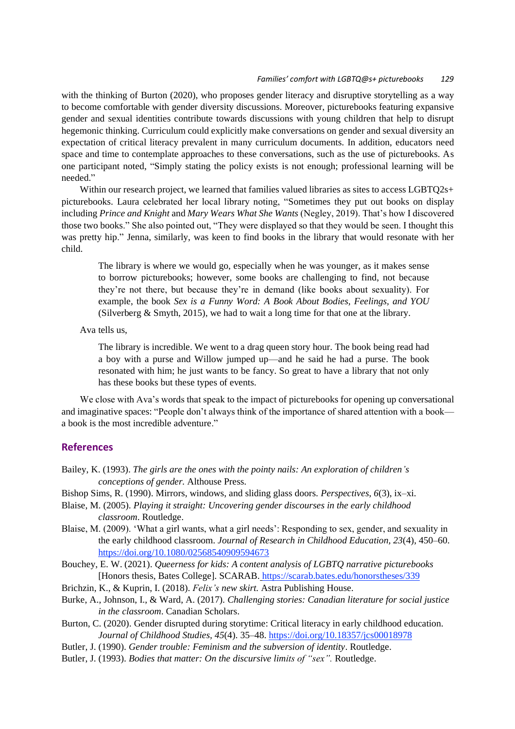#### *Families' comfort with LGBTQ@s+ picturebooks 129*

with the thinking of Burton (2020), who proposes gender literacy and disruptive storytelling as a way to become comfortable with gender diversity discussions. Moreover, picturebooks featuring expansive gender and sexual identities contribute towards discussions with young children that help to disrupt hegemonic thinking. Curriculum could explicitly make conversations on gender and sexual diversity an expectation of critical literacy prevalent in many curriculum documents. In addition, educators need space and time to contemplate approaches to these conversations, such as the use of picturebooks. As one participant noted, "Simply stating the policy exists is not enough; professional learning will be needed"

Within our research project, we learned that families valued libraries as sites to access LGBTQ2s+ picturebooks. Laura celebrated her local library noting, "Sometimes they put out books on display including *Prince and Knight* and *Mary Wears What She Wants* (Negley, 2019). That's how I discovered those two books." She also pointed out, "They were displayed so that they would be seen. I thought this was pretty hip." Jenna, similarly, was keen to find books in the library that would resonate with her child.

The library is where we would go, especially when he was younger, as it makes sense to borrow picturebooks; however, some books are challenging to find, not because they're not there, but because they're in demand (like books about sexuality). For example, the book *Sex is a Funny Word: A Book About Bodies, Feelings, and YOU* (Silverberg & Smyth, 2015), we had to wait a long time for that one at the library.

Ava tells us,

The library is incredible. We went to a drag queen story hour. The book being read had a boy with a purse and Willow jumped up—and he said he had a purse. The book resonated with him; he just wants to be fancy. So great to have a library that not only has these books but these types of events.

We close with Ava's words that speak to the impact of picturebooks for opening up conversational and imaginative spaces: "People don't always think of the importance of shared attention with a book a book is the most incredible adventure."

## **References**

- Bailey, K. (1993). *The girls are the ones with the pointy nails: An exploration of children's conceptions of gender.* Althouse Press.
- Bishop Sims, R. (1990). Mirrors, windows, and sliding glass doors. *Perspectives*, *6*(3), ix–xi.
- Blaise, M. (2005). *Playing it straight: Uncovering gender discourses in the early childhood classroom*. Routledge.
- Blaise, M. (2009). 'What a girl wants, what a girl needs': Responding to sex, gender, and sexuality in the early childhood classroom. *Journal of Research in Childhood Education, 23*(4), 450–60. <https://doi.org/10.1080/02568540909594673>
- Bouchey, E. W. (2021). *Queerness for kids: A content analysis of LGBTQ narrative picturebooks*  [Honors thesis, Bates College]. SCARAB. <https://scarab.bates.edu/honorstheses/339>
- Brichzin, K., & Kuprin, I. (2018). *Felix's new skirt.* Astra Publishing House.
- Burke, A., Johnson, I., & Ward, A. (2017). *Challenging stories: Canadian literature for social justice in the classroom*. Canadian Scholars.
- Burton, C. (2020). Gender disrupted during storytime: Critical literacy in early childhood education. *Journal of Childhood Studies, 45*(4). 35–48. <https://doi.org/10.18357/jcs00018978>
- Butler, J. (1990). *Gender trouble: Feminism and the subversion of identity*. Routledge.
- Butler, J. (1993). *Bodies that matter: On the discursive limits of "sex".* Routledge.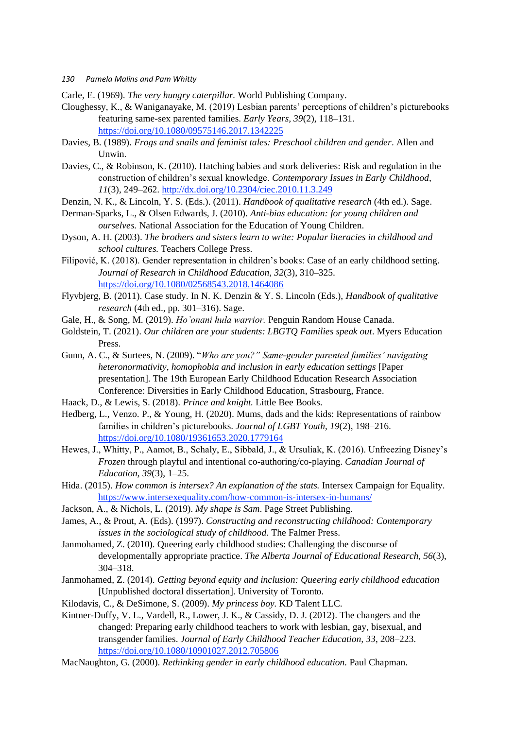Carle, E. (1969). *The very hungry caterpillar.* World Publishing Company.

- Cloughessy, K., & Waniganayake, M. (2019) Lesbian parents' perceptions of children's picturebooks featuring same-sex parented families. *Early Years, 39*(2), 118–131. <https://doi.org/10.1080/09575146.2017.1342225>
- Davies, B. (1989). *Frogs and snails and feminist tales: Preschool children and gender*. Allen and Unwin.
- Davies, C., & Robinson, K. (2010). Hatching babies and stork deliveries: Risk and regulation in the construction of children's sexual knowledge. *Contemporary Issues in Early Childhood, 11*(3), 249–262.<http://dx.doi.org/10.2304/ciec.2010.11.3.249>
- Denzin, N. K., & Lincoln, Y. S. (Eds.). (2011). *Handbook of qualitative research* (4th ed.). Sage.
- Derman-Sparks, L., & Olsen Edwards, J. (2010). *Anti-bias education: for young children and ourselves.* National Association for the Education of Young Children.
- Dyson, A. H. (2003). *The brothers and sisters learn to write: Popular literacies in childhood and school cultures.* Teachers College Press.
- Filipović, K. (2018). Gender representation in children's books: Case of an early childhood setting. *Journal of Research in Childhood Education, 32*(3), 310–325. <https://doi.org/10.1080/02568543.2018.1464086>
- Flyvbjerg, B. (2011). Case study. In N. K. Denzin & Y. S. Lincoln (Eds.), *Handbook of qualitative research* (4th ed., pp. 301–316). Sage.
- Gale, H., & Song, M. (2019). *Ho'onani hula warrior.* Penguin Random House Canada.
- Goldstein, T. (2021). *Our children are your students: LBGTQ Families speak out*. Myers Education Press.
- Gunn, A. C., & Surtees, N. (2009). "*Who are you?" Same-gender parented families' navigating heteronormativity, homophobia and inclusion in early education settings* [Paper presentation]. The 19th European Early Childhood Education Research Association Conference: Diversities in Early Childhood Education, Strasbourg, France.
- Haack, D., & Lewis, S. (2018). *Prince and knight.* Little Bee Books.
- Hedberg, L., Venzo. P., & Young, H. (2020). Mums, dads and the kids: Representations of rainbow families in children's picturebooks. *Journal of LGBT Youth*, *19*(2), 198–216. <https://doi.org/10.1080/19361653.2020.1779164>
- Hewes, J., Whitty, P., Aamot, B., Schaly, E., Sibbald, J., & Ursuliak, K. (2016). Unfreezing Disney's *Frozen* through playful and intentional co-authoring/co-playing. *Canadian Journal of Education, 39*(3), 1–25.
- Hida. (2015). *How common is intersex? An explanation of the stats.* Intersex Campaign for Equality. <https://www.intersexequality.com/how-common-is-intersex-in-humans/>
- Jackson, A., & Nichols, L. (2019). *My shape is Sam*. Page Street Publishing.
- James, A., & Prout, A. (Eds). (1997). *Constructing and reconstructing childhood: Contemporary issues in the sociological study of childhood*. The Falmer Press.
- Janmohamed, Z. (2010). Queering early childhood studies: Challenging the discourse of developmentally appropriate practice. *The Alberta Journal of Educational Research, 56*(3), 304–318.
- Janmohamed, Z. (2014). *Getting beyond equity and inclusion: Queering early childhood education* [Unpublished doctoral dissertation]. University of Toronto.
- Kilodavis, C., & DeSimone, S. (2009). *My princess boy.* KD Talent LLC.
- Kintner-Duffy, V. L., Vardell, R., Lower, J. K., & Cassidy, D. J. (2012). The changers and the changed: Preparing early childhood teachers to work with lesbian, gay, bisexual, and transgender families. *Journal of Early Childhood Teacher Education, 33*, 208–223. <https://doi.org/10.1080/10901027.2012.705806>
- MacNaughton, G. (2000). *Rethinking gender in early childhood education.* Paul Chapman.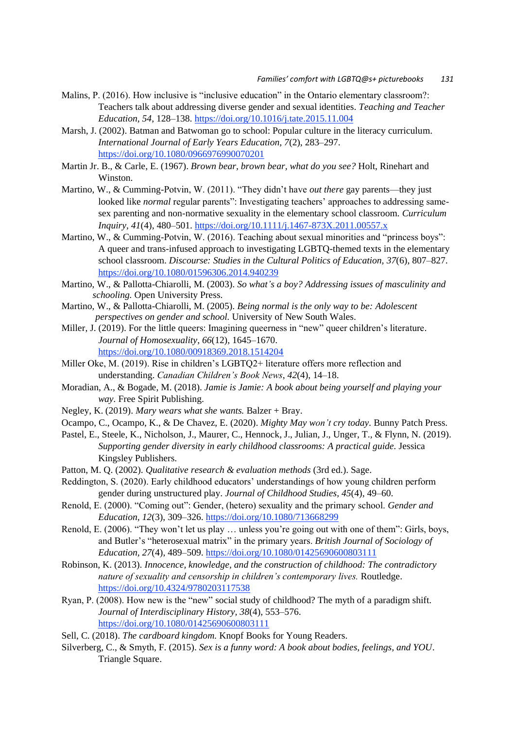- Malins, P. (2016). How inclusive is "inclusive education" in the Ontario elementary classroom?: Teachers talk about addressing diverse gender and sexual identities. *Teaching and Teacher Education, 54*, 128–138. <https://doi.org/10.1016/j.tate.2015.11.004>
- Marsh, J. (2002). Batman and Batwoman go to school: Popular culture in the literacy curriculum. *International Journal of Early Years Education, 7*(2), 283–297. <https://doi.org/10.1080/0966976990070201>
- Martin Jr. B., & Carle, E. (1967). *Brown bear, brown bear, what do you see?* Holt, Rinehart and Winston.
- Martino, W., & Cumming-Potvin, W. (2011). "They didn't have *out there* gay parents—they just looked like *normal* regular parents": Investigating teachers' approaches to addressing samesex parenting and non-normative sexuality in the elementary school classroom. *Curriculum Inquiry, 41*(4), 480–501. <https://doi.org/10.1111/j.1467-873X.2011.00557.x>
- Martino, W., & Cumming-Potvin, W. (2016). Teaching about sexual minorities and "princess boys": A queer and trans-infused approach to investigating LGBTQ-themed texts in the elementary school classroom. *Discourse: Studies in the Cultural Politics of Education, 37*(6), 807–827. <https://doi.org/10.1080/01596306.2014.940239>
- Martino, W., & Pallotta-Chiarolli, M. (2003). *So what's a boy? Addressing issues of masculinity and schooling.* Open University Press.
- Martino, W., & Pallotta-Chiarolli, M. (2005). *Being normal is the only way to be: Adolescent perspectives on gender and school.* University of New South Wales.
- Miller, J. (2019). For the little queers: Imagining queerness in "new" queer children's literature. *Journal of Homosexuality*, *66*(12), 1645–1670. <https://doi.org/10.1080/00918369.2018.1514204>
- Miller Oke, M. (2019). Rise in children's LGBTQ2+ literature offers more reflection and understanding. *Canadian Children's Book News*, *42*(4), 14–18.
- Moradian, A., & Bogade, M. (2018). *Jamie is Jamie: A book about being yourself and playing your way.* Free Spirit Publishing.
- Negley, K. (2019). *Mary wears what she wants.* Balzer + Bray.
- Ocampo, C., Ocampo, K., & De Chavez, E. (2020). *Mighty May won't cry today.* Bunny Patch Press.
- Pastel, E., Steele, K., Nicholson, J., Maurer, C., Hennock, J., Julian, J., Unger, T., & Flynn, N. (2019). *Supporting gender diversity in early childhood classrooms: A practical guide.* Jessica Kingsley Publishers.
- Patton, M. Q. (2002). *Qualitative research & evaluation methods* (3rd ed.). Sage.
- Reddington, S. (2020). Early childhood educators' understandings of how young children perform gender during unstructured play. *Journal of Childhood Studies, 45*(4), 49–60.
- Renold, E. (2000). "Coming out": Gender, (hetero) sexuality and the primary school. *Gender and Education, 12*(3), 309–326. <https://doi.org/10.1080/713668299>
- Renold, E. (2006). "They won't let us play … unless you're going out with one of them": Girls, boys, and Butler's "heterosexual matrix" in the primary years. *British Journal of Sociology of Education, 27*(4), 489–509. <https://doi.org/10.1080/01425690600803111>
- Robinson, K. (2013). *Innocence, knowledge, and the construction of childhood: The contradictory nature of sexuality and censorship in children's contemporary lives.* Routledge. <https://doi.org/10.4324/9780203117538>
- Ryan, P. (2008). How new is the "new" social study of childhood? The myth of a paradigm shift. *Journal of Interdisciplinary History, 38*(4), 553–576. <https://doi.org/10.1080/01425690600803111>
- Sell, C. (2018). *The cardboard kingdom.* Knopf Books for Young Readers.
- Silverberg, C., & Smyth, F. (2015). *Sex is a funny word: A book about bodies, feelings, and YOU*. Triangle Square.